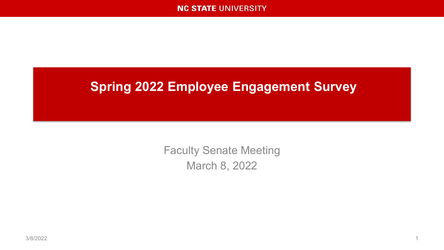### **Spring 2022 Employee Engagement Survey**

Faculty Senate Meeting March 8, 2022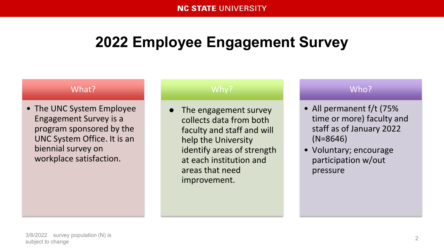#### What?

• The UNC System Employee Engagement Survey is a program sponsored by the UNC System Office. It is an biennial survey on workplace satisfaction.

#### Why?

The engagement survey collects data from both faculty and staff and will help the University identify areas of strength at each institution and areas that need improvement.

#### Who?

- All permanent f/t (75% time or more) faculty and staff as of January 2022 (N=8646)
- Voluntary; encourage participation w/out pressure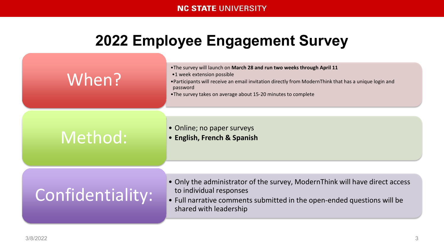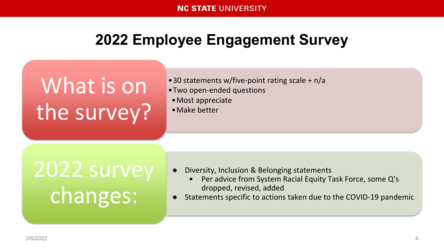# What is on the survey?

- •30 statements w/five-point rating scale + n/a
- •Two open-ended questions
- •Most appreciate
- •Make better

# 2022 survey changes:

- Diversity, Inclusion & Belonging statements
	- Per advice from System Racial Equity Task Force, some Q's dropped, revised, added
- Statements specific to actions taken due to the COVID-19 pandemic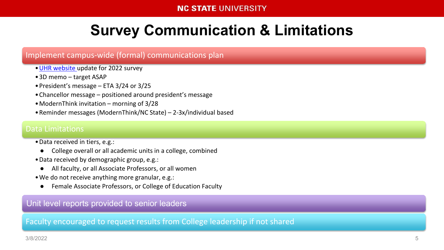#### **NC STATE UNIVERSITY**

# **Survey Communication & Limitations**

#### Implement campus-wide (formal) communications plan

- UHR website update for 2022 survey
- •3D memo target ASAP
- •President's message ETA 3/24 or 3/25
- •Chancellor message positioned around president's message
- •ModernThink invitation morning of 3/28
- •Reminder messages (ModernThink/NC State) 2-3x/individual based

#### Data Limitations

- •Data received in tiers, e.g.:
- College overall or all academic units in a college, combined
- •Data received by demographic group, e.g.:
	- All faculty, or all Associate Professors, or all women
- •We do not receive anything more granular, e.g.:
	- Female Associate Professors, or College of Education Faculty

#### Unit level reports provided to senior leaders

Faculty encouraged to request results from College leadership if not shared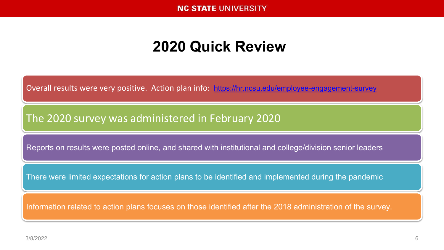## **2020 Quick Review**

Overall results were very positive. Action plan info: [https://hr.ncsu.edu/employee-engagement-survey](https://hr.ncsu.edu/employee-engagement-survey/)

The 2020 survey was administered in February 2020

Reports on results were posted online, and shared with institutional and college/division senior leaders

There were limited expectations for action plans to be identified and implemented during the pandemic

Information related to action plans focuses on those identified after the 2018 administration of the survey.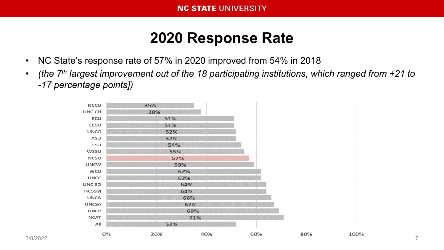## **2020 Response Rate**

- NC State's response rate of 57% in 2020 improved from 54% in 2018
- *(the 7th largest improvement out of the 18 participating institutions, which ranged from +21 to -17 percentage points])*

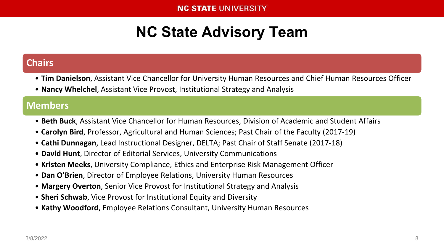#### **NC STATE UNIVERSITY**

# **NC State Advisory Team**

#### **Chairs**

- **Tim Danielson**, Assistant Vice Chancellor for University Human Resources and Chief Human Resources Officer
- **Nancy Whelchel**, Assistant Vice Provost, Institutional Strategy and Analysis

#### **Members**

- **Beth Buck**, Assistant Vice Chancellor for Human Resources, Division of Academic and Student Affairs
- **Carolyn Bird**, Professor, Agricultural and Human Sciences; Past Chair of the Faculty (2017-19)
- **Cathi Dunnagan**, Lead Instructional Designer, DELTA; Past Chair of Staff Senate (2017-18)
- **David Hunt**, Director of Editorial Services, University Communications
- **Kristen Meeks**, University Compliance, Ethics and Enterprise Risk Management Officer
- **Dan O'Brien**, Director of Employee Relations, University Human Resources
- **Margery Overton**, Senior Vice Provost for Institutional Strategy and Analysis
- **Sheri Schwab**, Vice Provost for Institutional Equity and Diversity
- **Kathy Woodford**, Employee Relations Consultant, University Human Resources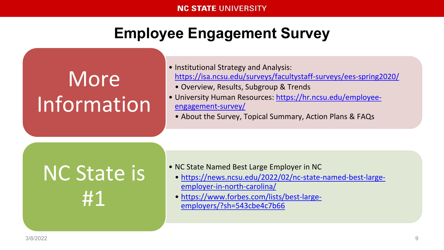# More Information

- Institutional Strategy and Analysis: <https://isa.ncsu.edu/surveys/facultystaff-surveys/ees-spring2020/>
	- Overview, Results, Subgroup & Trends
- [University Human Resources: https://hr.ncsu.edu/employee](https://hr.ncsu.edu/employee-engagement-survey/)engagement-survey/
	- About the Survey, Topical Summary, Action Plans & FAQs

# NC State is #1

- NC State Named Best Large Employer in NC
	- [https://news.ncsu.edu/2022/02/nc-state-named-best-large](https://news.ncsu.edu/2022/02/nc-state-named-best-large-employer-in-north-carolina/)employer-in-north-carolina/
	- [https://www.forbes.com/lists/best-large](https://www.forbes.com/lists/best-large-employers/?sh=543cbe4c7b66)employers/?sh=543cbe4c7b66